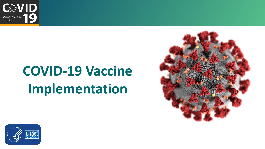

# **COVID-19 Vaccine Implementation**



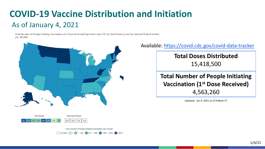## **COVID-19 Vaccine Distribution and Initiation** As of January 4, 2021

Total Number of People Initiating Vaccination (1st Dose Received) Reported to the CDC by State/Territory and for Selected Federal Entities per 100.000



#### Available: <https://covid.cdc.gov/covid-data-tracker>

**Total Doses Distributed** 15,418,500

#### **Total Number of People Initiating Vaccination (1st Dose Received)** 4,563,260

Updated: Jan 4, 2021 as of 9:00am ET



Total Number of People Initiating Vaccination per 100,000

◯ No Data ◯ 0 ◯ 1 - 500 ◯ 501 - 1,000 ◯ 1,001 - 2,000 ◯ 2,001 +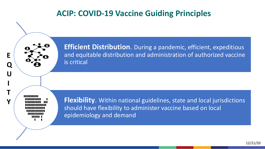## **ACIP: COVID-19 Vaccine Guiding Principles**

**Efficient Distribution**. During a pandemic, efficient, expeditious and equitable distribution and administration of authorized vaccine is critical

,,,,,,,,,,, ,,,,,,,,

**E**

**Q**

**U**

**I**

**T**

**Y**

**Flexibility**. Within national guidelines, state and local jurisdictions should have flexibility to administer vaccine based on local epidemiology and demand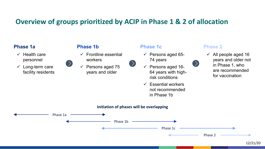### **Overview of groups prioritized by ACIP in Phase 1 & 2 of allocation**

#### **Phase 1a Phase 1b Phase 1c Phase 2**

- $\checkmark$  Health care personnel
- $\checkmark$  Long-term care facility residents



workers  $\checkmark$  Persons aged 75 years and older

 $\checkmark$  Frontline essential



- 
- $\checkmark$  Persons aged 65-74 years
- $\checkmark$  Persons aged 16-64 years with highrisk conditions
- $\checkmark$  Essential workers not recommended in Phase 1b



 $\checkmark$  All people aged 16 years and older not in Phase 1, who are recommended for vaccination

#### **Initiation of phases will be overlapping**

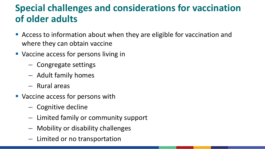## **Special challenges and considerations for vaccination of older adults**

- Access to information about when they are eligible for vaccination and where they can obtain vaccine
- Vaccine access for persons living in
	- Congregate settings
	- Adult family homes
	- Rural areas
- Vaccine access for persons with
	- Cognitive decline
	- Limited family or community support
	- Mobility or disability challenges
	- Limited or no transportation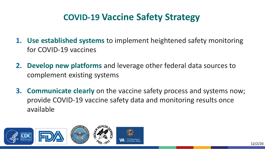## **COVID-19 Vaccine Safety Strategy**

- **1. Use established systems** to implement heightened safety monitoring for COVID-19 vaccines
- **2. Develop new platforms** and leverage other federal data sources to complement existing systems
- **3. Communicate clearly** on the vaccine safety process and systems now; provide COVID-19 vaccine safety data and monitoring results once available

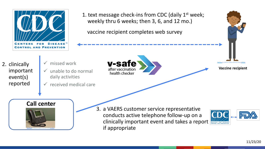

1. text message check-ins from CDC (daily 1<sup>st</sup> week; weekly thru 6 weeks; then 3, 6, and 12 mo.)

vaccine recipient completes web survey

2. clinically important event(s) reported

- $\checkmark$  missed work **V-Safe**
- $\checkmark$  unable to do normal daily activities
- $\checkmark$  received medical care





**Vaccine recipient** 

#### **Call center**



3. a VAERS customer service representative conducts active telephone follow-up on a clinically important event and takes a report if appropriate

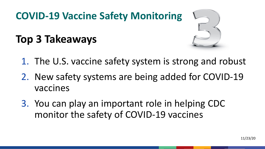## **COVID-19 Vaccine Safety Monitoring**

## **Top 3 Takeaways**



- 1. The U.S. vaccine safety system is strong and robust
- 2. New safety systems are being added for COVID-19 vaccines
- 3. You can play an important role in helping CDC monitor the safety of COVID-19 vaccines